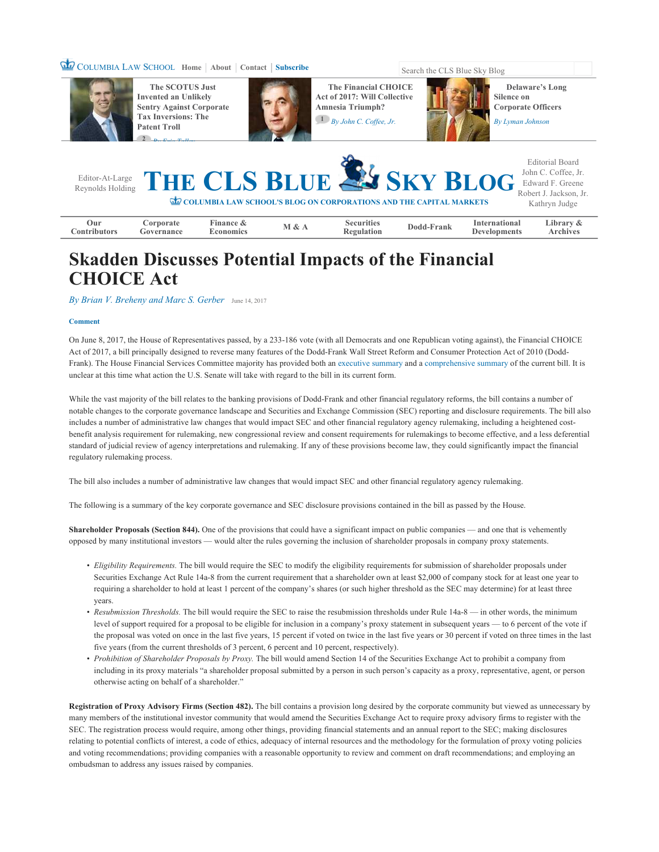## **COLUMBIA LAW SCHOOL Home** | **About** | **Contact** | **Subscribe** Search the CLS Blue Sky Blog



**The SCOTUS Just Invented an Unlikely Sentry Against Corporate Tax Inversions: The Patent Troll <sup>2</sup>** *By Eric Talley*



**The Financial CHOICE Act of 2017: Will Collective Amnesia Triumph? 1** *By John C. Coffee, Jr.*



**Delaware's Long Silence on Corporate Officers** 

*By Lyman Johnson*

|                     |                         |                               |       |                                 | Editor-At-Large THE CLS BLUE SKY BLOG Lohn C. Coffee, Jr.<br>COLUMBIA LAW SCHOOL'S BLOG ON CORPORATIONS AND THE CAPITAL MARKETS |                                             | <b>Editorial Board</b><br>Robert J. Jackson, Jr.<br>Kathryn Judge |
|---------------------|-------------------------|-------------------------------|-------|---------------------------------|---------------------------------------------------------------------------------------------------------------------------------|---------------------------------------------|-------------------------------------------------------------------|
| Our<br>Contributors | Corporate<br>Governance | Finance &<br><b>Economics</b> | M & A | <b>Securities</b><br>Regulation | Dodd-Frank                                                                                                                      | <b>International</b><br><b>Developments</b> | Library $\&$<br><b>Archives</b>                                   |

## **Skadden Discusses Potential Impacts of the Financial CHOICE Act**

*By Brian V. Breheny and Marc S. Gerber* June 14, 2017

## **Comment**

On June 8, 2017, the House of Representatives passed, by a 233-186 vote (with all Democrats and one Republican voting against), the Financial CHOICE Act of 2017, a bill principally designed to reverse many features of the Dodd-Frank Wall Street Reform and Consumer Protection Act of 2010 (Dodd-Frank). The House Financial Services Committee majority has provided both an executive summary and a comprehensive summary of the current bill. It is unclear at this time what action the U.S. Senate will take with regard to the bill in its current form.

While the vast majority of the bill relates to the banking provisions of Dodd-Frank and other financial regulatory reforms, the bill contains a number of notable changes to the corporate governance landscape and Securities and Exchange Commission (SEC) reporting and disclosure requirements. The bill also includes a number of administrative law changes that would impact SEC and other financial regulatory agency rulemaking, including a heightened costbenefit analysis requirement for rulemaking, new congressional review and consent requirements for rulemakings to become effective, and a less deferential standard of judicial review of agency interpretations and rulemaking. If any of these provisions become law, they could significantly impact the financial regulatory rulemaking process.

The bill also includes a number of administrative law changes that would impact SEC and other financial regulatory agency rulemaking.

The following is a summary of the key corporate governance and SEC disclosure provisions contained in the bill as passed by the House.

**Shareholder Proposals (Section 844).** One of the provisions that could have a significant impact on public companies — and one that is vehemently opposed by many institutional investors — would alter the rules governing the inclusion of shareholder proposals in company proxy statements.

- Eligibility Requirements. The bill would require the SEC to modify the eligibility requirements for submission of shareholder proposals under Securities Exchange Act Rule 14a-8 from the current requirement that a shareholder own at least \$2,000 of company stock for at least one year to requiring a shareholder to hold at least 1 percent of the company's shares (or such higher threshold as the SEC may determine) for at least three years.
- Resubmission Thresholds. The bill would require the SEC to raise the resubmission thresholds under Rule 14a-8 in other words, the minimum level of support required for a proposal to be eligible for inclusion in a company's proxy statement in subsequent years — to 6 percent of the vote if the proposal was voted on once in the last five years, 15 percent if voted on twice in the last five years or 30 percent if voted on three times in the last five years (from the current thresholds of 3 percent, 6 percent and 10 percent, respectively).
- Prohibition of Shareholder Proposals by Proxy. The bill would amend Section 14 of the Securities Exchange Act to prohibit a company from including in its proxy materials "a shareholder proposal submitted by a person in such person's capacity as a proxy, representative, agent, or person otherwise acting on behalf of a shareholder."

Registration of Proxy Advisory Firms (Section 482). The bill contains a provision long desired by the corporate community but viewed as unnecessary by many members of the institutional investor community that would amend the Securities Exchange Act to require proxy advisory firms to register with the SEC. The registration process would require, among other things, providing financial statements and an annual report to the SEC; making disclosures relating to potential conflicts of interest, a code of ethics, adequacy of internal resources and the methodology for the formulation of proxy voting policies and voting recommendations; providing companies with a reasonable opportunity to review and comment on draft recommendations; and employing an ombudsman to address any issues raised by companies.